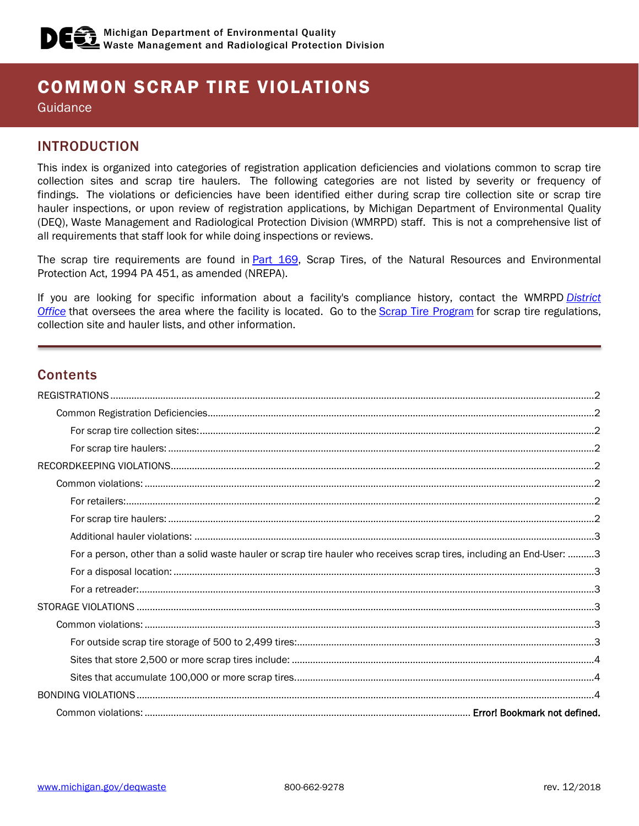# COMMON SCRAP TIRE VIOLATIONS

**Guidance** 

# INTRODUCTION

This index is organized into categories of registration application deficiencies and violations common to scrap tire collection sites and scrap tire haulers. The following categories are not listed by severity or frequency of findings. The violations or deficiencies have been identified either during scrap tire collection site or scrap tire hauler inspections, or upon review of registration applications, by Michigan Department of Environmental Quality (DEQ), Waste Management and Radiological Protection Division (WMRPD) staff. This is not a comprehensive list of all requirements that staff look for while doing inspections or reviews.

The scrap tire requirements are found in [Part 169,](http://www.legislature.mi.gov/(S(ywr4myyuynvr1z553daso545))/mileg.aspx?page=print&objectname=mcl-451-1994-II-5-169) Scrap Tires, of the Natural Resources and Environmental Protection Act, 1994 PA 451, as amended (NREPA).

If you are looking for specific information about a facility's compliance history, contact the WMRPD *[District](https://www.michigan.gov/documents/deq/deq-whmd-adm-officemap_247521_7.pdf)  [Office](https://www.michigan.gov/documents/deq/deq-whmd-adm-officemap_247521_7.pdf)* that oversees the area where the facility is located. Go to the [Scrap Tire Program](http://www.michigan.gov/deq/0,4561,7-135-3312_4122---,00.html) for scrap tire regulations, collection site and hauler lists, and other information.

# **Contents**

| For a person, other than a solid waste hauler or scrap tire hauler who receives scrap tires, including an End-User: 3 |  |
|-----------------------------------------------------------------------------------------------------------------------|--|
|                                                                                                                       |  |
|                                                                                                                       |  |
|                                                                                                                       |  |
|                                                                                                                       |  |
|                                                                                                                       |  |
|                                                                                                                       |  |
|                                                                                                                       |  |
|                                                                                                                       |  |
|                                                                                                                       |  |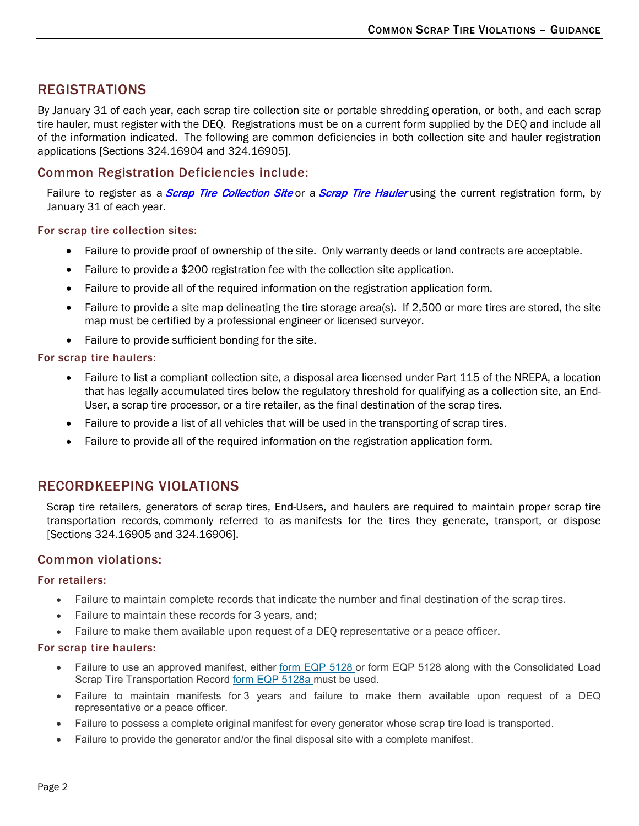# <span id="page-1-0"></span>REGISTRATIONS

By January 31 of each year, each scrap tire collection site or portable shredding operation, or both, and each scrap tire hauler, must register with the DEQ. Registrations must be on a current form supplied by the DEQ and include all of the information indicated. The following are common deficiencies in both collection site and hauler registration applications [Sections 324.16904 and 324.16905].

# <span id="page-1-1"></span>Common Registration Deficiencies include:

Failure to register as a *Scrap Tire Collection Site* or a *Scrap Tire Hauler* using the current registration form, by January 31 of each year.

### <span id="page-1-2"></span>For scrap tire collection sites:

- Failure to provide proof of ownership of the site. Only warranty deeds or land contracts are acceptable.
- Failure to provide a \$200 registration fee with the collection site application.
- Failure to provide all of the required information on the registration application form.
- Failure to provide a site map delineating the tire storage area(s). If 2,500 or more tires are stored, the site map must be certified by a professional engineer or licensed surveyor.
- Failure to provide sufficient bonding for the site.

### <span id="page-1-3"></span>For scrap tire haulers:

- Failure to list a compliant collection site, a disposal area licensed under Part 115 of the NREPA, a location that has legally accumulated tires below the regulatory threshold for qualifying as a collection site, an End-User, a scrap tire processor, or a tire retailer, as the final destination of the scrap tires.
- Failure to provide a list of all vehicles that will be used in the transporting of scrap tires.
- Failure to provide all of the required information on the registration application form.

# <span id="page-1-4"></span>RECORDKEEPING VIOLATIONS

Scrap tire retailers, generators of scrap tires, End-Users, and haulers are required to maintain proper scrap tire transportation records, commonly referred to as manifests for the tires they generate, transport, or dispose [Sections 324.16905 and 324.16906].

# <span id="page-1-5"></span>Common violations:

#### <span id="page-1-6"></span>For retailers:

- Failure to maintain complete records that indicate the number and final destination of the scrap tires.
- Failure to maintain these records for 3 years, and;
- Failure to make them available upon request of a DEQ representative or a peace officer.

### <span id="page-1-7"></span>For scrap tire haulers:

- Failure to use an approved manifest, either [form EQP 5128](http://www.michigan.gov/documents/deq/DNRE-ERMD-ST-EQP_5128_ST_Transport_Record_331356_7.pdf) or form EQP 5128 along with the Consolidated Load Scrap Tire Transportation Record [form EQP 5128a](http://www.michigan.gov/documents/deq/DNRE-ERMD-ST-EQP_5128Aa_CONSOLIDATED_LOAD_MANIFEST_403896_7.pdf) must be used.
- Failure to maintain manifests for 3 years and failure to make them available upon request of a DEQ representative or a peace officer.
- Failure to possess a complete original manifest for every generator whose scrap tire load is transported.
- Failure to provide the generator and/or the final disposal site with a complete manifest.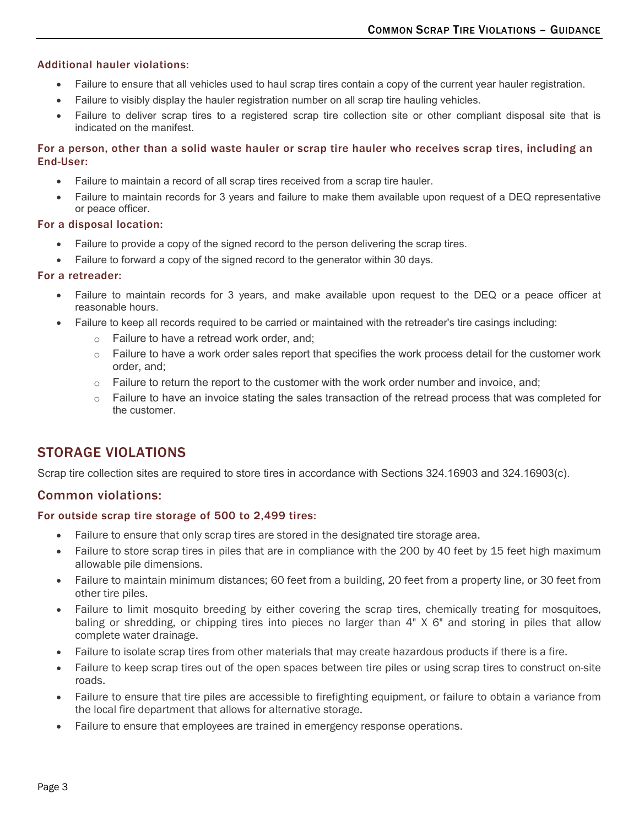### <span id="page-2-0"></span>Additional hauler violations:

- Failure to ensure that all vehicles used to haul scrap tires contain a copy of the current year hauler registration.
- Failure to visibly display the hauler registration number on all scrap tire hauling vehicles.
- Failure to deliver scrap tires to a registered scrap tire collection site or other compliant disposal site that is indicated on the manifest.

### <span id="page-2-1"></span>For a person, other than a solid waste hauler or scrap tire hauler who receives scrap tires, including an End-User:

- Failure to maintain a record of all scrap tires received from a scrap tire hauler.
- Failure to maintain records for 3 years and failure to make them available upon request of a DEQ representative or peace officer.

#### <span id="page-2-2"></span>For a disposal location:

- Failure to provide a copy of the signed record to the person delivering the scrap tires.
- Failure to forward a copy of the signed record to the generator within 30 days.

### <span id="page-2-3"></span>For a retreader:

- Failure to maintain records for 3 years, and make available upon request to the DEQ or a peace officer at reasonable hours.
- Failure to keep all records required to be carried or maintained with the retreader's tire casings including:
	- o Failure to have a retread work order, and;
	- $\circ$  Failure to have a work order sales report that specifies the work process detail for the customer work order, and;
	- $\circ$  Failure to return the report to the customer with the work order number and invoice, and;
	- $\circ$  Failure to have an invoice stating the sales transaction of the retread process that was completed for the customer.

# <span id="page-2-4"></span>STORAGE VIOLATIONS

Scrap tire collection sites are required to store tires in accordance with Sections 324.16903 and 324.16903(c).

# <span id="page-2-5"></span>Common violations:

### <span id="page-2-6"></span>For outside scrap tire storage of 500 to 2,499 tires:

- Failure to ensure that only scrap tires are stored in the designated tire storage area.
- Failure to store scrap tires in piles that are in compliance with the 200 by 40 feet by 15 feet high maximum allowable pile dimensions.
- Failure to maintain minimum distances; 60 feet from a building, 20 feet from a property line, or 30 feet from other tire piles.
- Failure to limit mosquito breeding by either covering the scrap tires, chemically treating for mosquitoes, baling or shredding, or chipping tires into pieces no larger than 4" X 6" and storing in piles that allow complete water drainage.
- Failure to isolate scrap tires from other materials that may create hazardous products if there is a fire.
- Failure to keep scrap tires out of the open spaces between tire piles or using scrap tires to construct on-site roads.
- Failure to ensure that tire piles are accessible to firefighting equipment, or failure to obtain a variance from the local fire department that allows for alternative storage.
- <span id="page-2-7"></span>• Failure to ensure that employees are trained in emergency response operations.